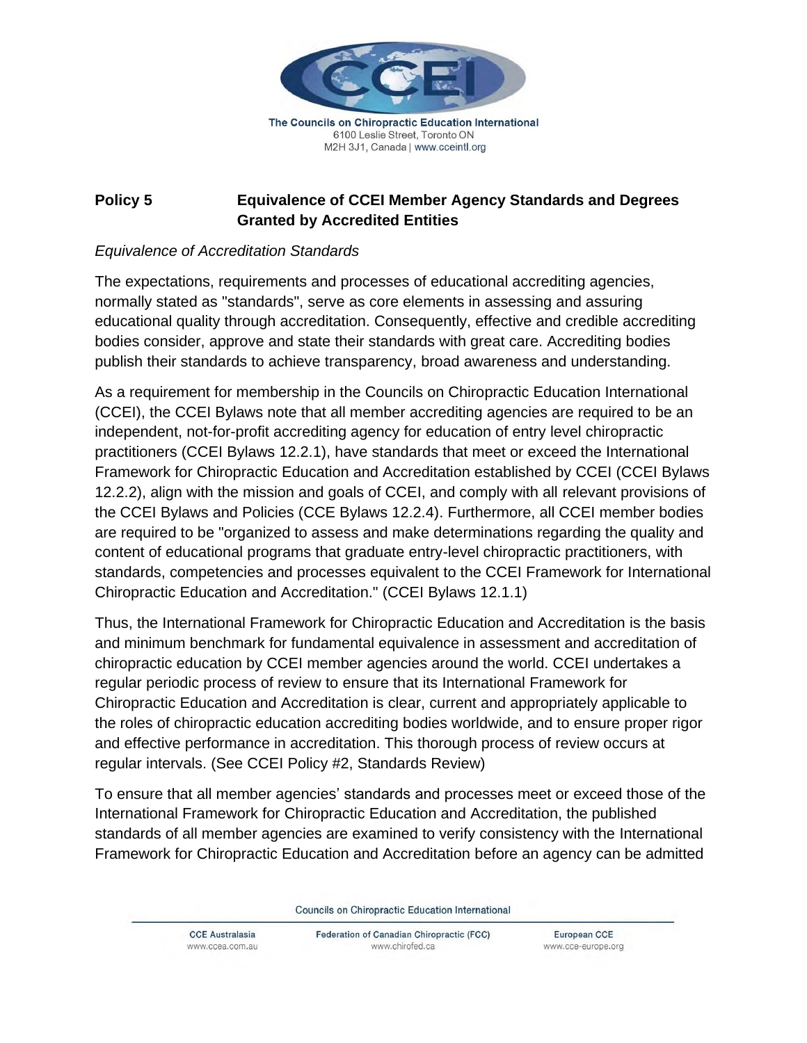

The Councils on Chiropractic Education International 6100 Leslie Street, Toronto ON M2H 3J1, Canada | www.cceintl.org

## **Policy 5 Equivalence of CCEI Member Agency Standards and Degrees Granted by Accredited Entities**

## *Equivalence of Accreditation Standards*

The expectations, requirements and processes of educational accrediting agencies, normally stated as "standards", serve as core elements in assessing and assuring educational quality through accreditation. Consequently, effective and credible accrediting bodies consider, approve and state their standards with great care. Accrediting bodies publish their standards to achieve transparency, broad awareness and understanding.

As a requirement for membership in the Councils on Chiropractic Education International (CCEI), the CCEI Bylaws note that all member accrediting agencies are required to be an independent, not-for-profit accrediting agency for education of entry level chiropractic practitioners (CCEI Bylaws 12.2.1), have standards that meet or exceed the International Framework for Chiropractic Education and Accreditation established by CCEI (CCEI Bylaws 12.2.2), align with the mission and goals of CCEI, and comply with all relevant provisions of the CCEI Bylaws and Policies (CCE Bylaws 12.2.4). Furthermore, all CCEI member bodies are required to be "organized to assess and make determinations regarding the quality and content of educational programs that graduate entry-level chiropractic practitioners, with standards, competencies and processes equivalent to the CCEI Framework for International Chiropractic Education and Accreditation." (CCEI Bylaws 12.1.1)

Thus, the International Framework for Chiropractic Education and Accreditation is the basis and minimum benchmark for fundamental equivalence in assessment and accreditation of chiropractic education by CCEI member agencies around the world. CCEI undertakes a regular periodic process of review to ensure that its International Framework for Chiropractic Education and Accreditation is clear, current and appropriately applicable to the roles of chiropractic education accrediting bodies worldwide, and to ensure proper rigor and effective performance in accreditation. This thorough process of review occurs at regular intervals. (See CCEI Policy #2, Standards Review)

To ensure that all member agencies' standards and processes meet or exceed those of the International Framework for Chiropractic Education and Accreditation, the published standards of all member agencies are examined to verify consistency with the International Framework for Chiropractic Education and Accreditation before an agency can be admitted

Councils on Chiropractic Education International

**CCE Australasia** www.ccea.com.au Federation of Canadian Chiropractic (FCC) www.chirofed.ca

European CCE www.cce-europe.org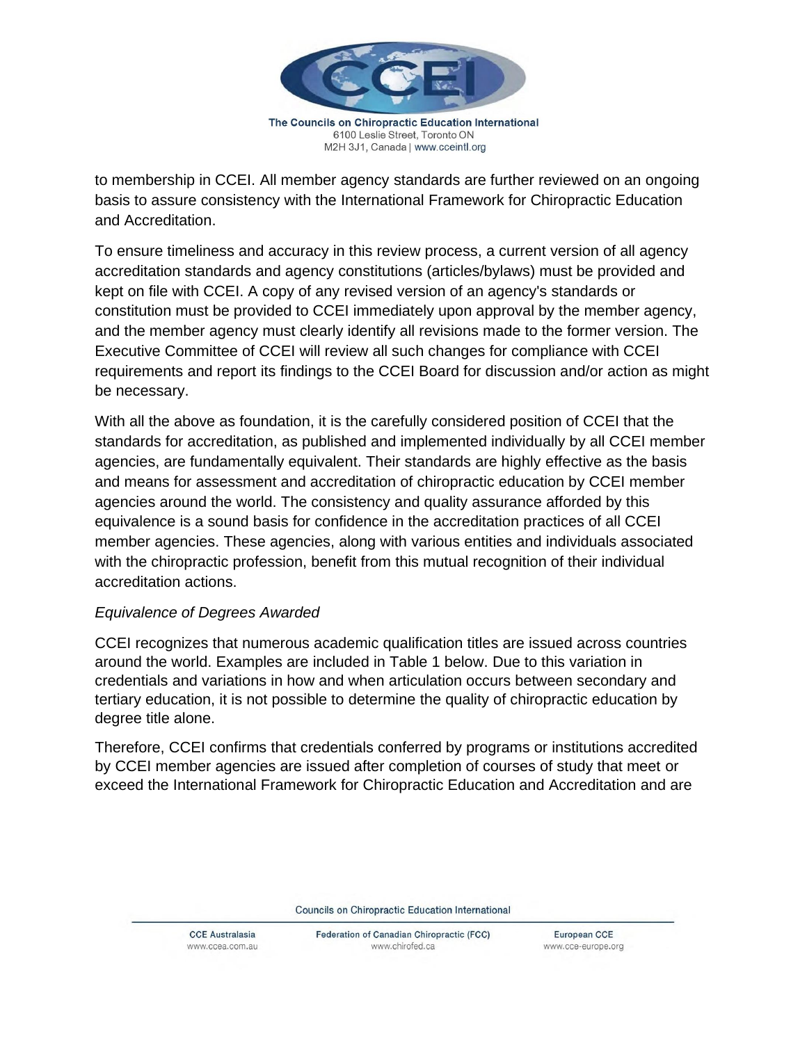

The Councils on Chiropractic Education International 6100 Leslie Street, Toronto ON M2H 3J1, Canada | www.cceintl.org

to membership in CCEI. All member agency standards are further reviewed on an ongoing basis to assure consistency with the International Framework for Chiropractic Education and Accreditation.

To ensure timeliness and accuracy in this review process, a current version of all agency accreditation standards and agency constitutions (articles/bylaws) must be provided and kept on file with CCEI. A copy of any revised version of an agency's standards or constitution must be provided to CCEI immediately upon approval by the member agency, and the member agency must clearly identify all revisions made to the former version. The Executive Committee of CCEI will review all such changes for compliance with CCEI requirements and report its findings to the CCEI Board for discussion and/or action as might be necessary.

With all the above as foundation, it is the carefully considered position of CCEI that the standards for accreditation, as published and implemented individually by all CCEI member agencies, are fundamentally equivalent. Their standards are highly effective as the basis and means for assessment and accreditation of chiropractic education by CCEI member agencies around the world. The consistency and quality assurance afforded by this equivalence is a sound basis for confidence in the accreditation practices of all CCEI member agencies. These agencies, along with various entities and individuals associated with the chiropractic profession, benefit from this mutual recognition of their individual accreditation actions.

## *Equivalence of Degrees Awarded*

CCEI recognizes that numerous academic qualification titles are issued across countries around the world. Examples are included in Table 1 below. Due to this variation in credentials and variations in how and when articulation occurs between secondary and tertiary education, it is not possible to determine the quality of chiropractic education by degree title alone.

Therefore, CCEI confirms that credentials conferred by programs or institutions accredited by CCEI member agencies are issued after completion of courses of study that meet or exceed the International Framework for Chiropractic Education and Accreditation and are

Councils on Chiropractic Education International

**CCE Australasia** www.ccea.com.au Federation of Canadian Chiropractic (FCC) www.chirofed.ca

European CCE www.cce-europe.org